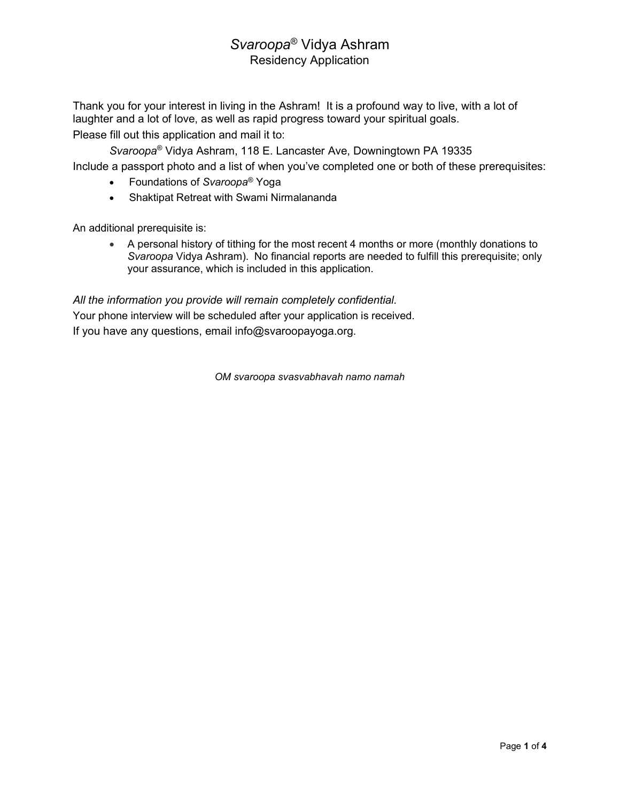Thank you for your interest in living in the Ashram! It is a profound way to live, with a lot of laughter and a lot of love, as well as rapid progress toward your spiritual goals. Please fill out this application and mail it to:

Svaroopa® Vidya Ashram, 118 E. Lancaster Ave, Downingtown PA 19335 Include a passport photo and a list of when you've completed one or both of these prerequisites:

- Foundations of Svaroopa<sup>®</sup> Yoga
- Shaktipat Retreat with Swami Nirmalananda

An additional prerequisite is:

 A personal history of tithing for the most recent 4 months or more (monthly donations to Svaroopa Vidya Ashram). No financial reports are needed to fulfill this prerequisite; only your assurance, which is included in this application.

All the information you provide will remain completely confidential. Your phone interview will be scheduled after your application is received. If you have any questions, email info@svaroopayoga.org.

OM svaroopa svasvabhavah namo namah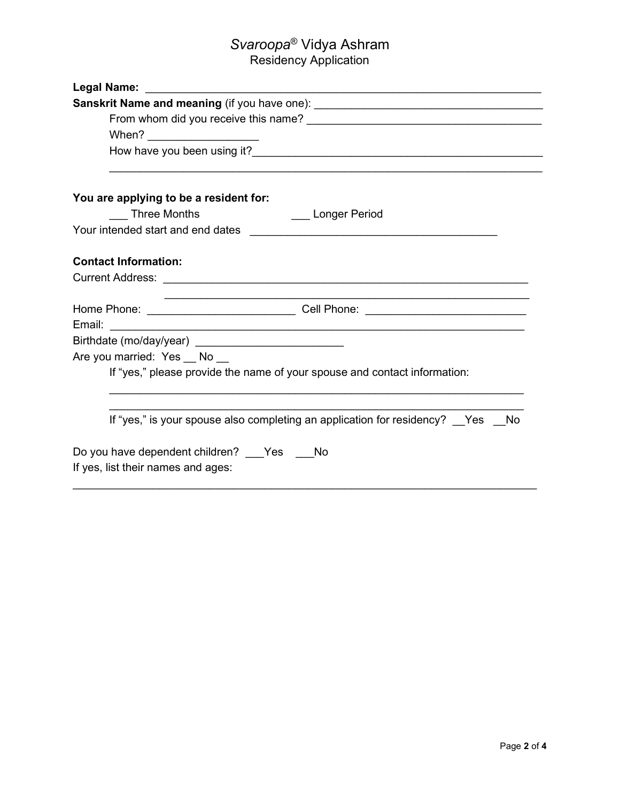| Sanskrit Name and meaning (if you have one): ___________________________________ |
|----------------------------------------------------------------------------------|
|                                                                                  |
|                                                                                  |
|                                                                                  |
| You are applying to be a resident for:                                           |
| <b>Three Months</b><br><b>Example 2 Longer Period</b>                            |
|                                                                                  |
| <b>Contact Information:</b>                                                      |
|                                                                                  |
|                                                                                  |
| Birthdate (mo/day/year) ______________________________                           |
| Are you married: Yes __ No __                                                    |
| If "yes," please provide the name of your spouse and contact information:        |
| If "yes," is your spouse also completing an application for residency? Yes No    |
|                                                                                  |
| Do you have dependent children? Yes No<br>If yes, list their names and ages:     |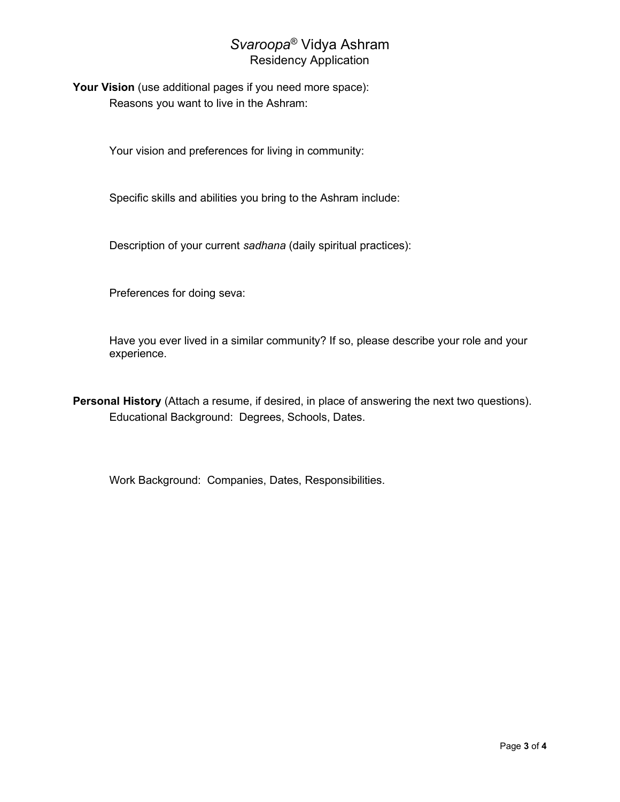Your Vision (use additional pages if you need more space): Reasons you want to live in the Ashram:

Your vision and preferences for living in community:

Specific skills and abilities you bring to the Ashram include:

Description of your current sadhana (daily spiritual practices):

Preferences for doing seva:

Have you ever lived in a similar community? If so, please describe your role and your experience.

Personal History (Attach a resume, if desired, in place of answering the next two questions). Educational Background: Degrees, Schools, Dates.

Work Background: Companies, Dates, Responsibilities.